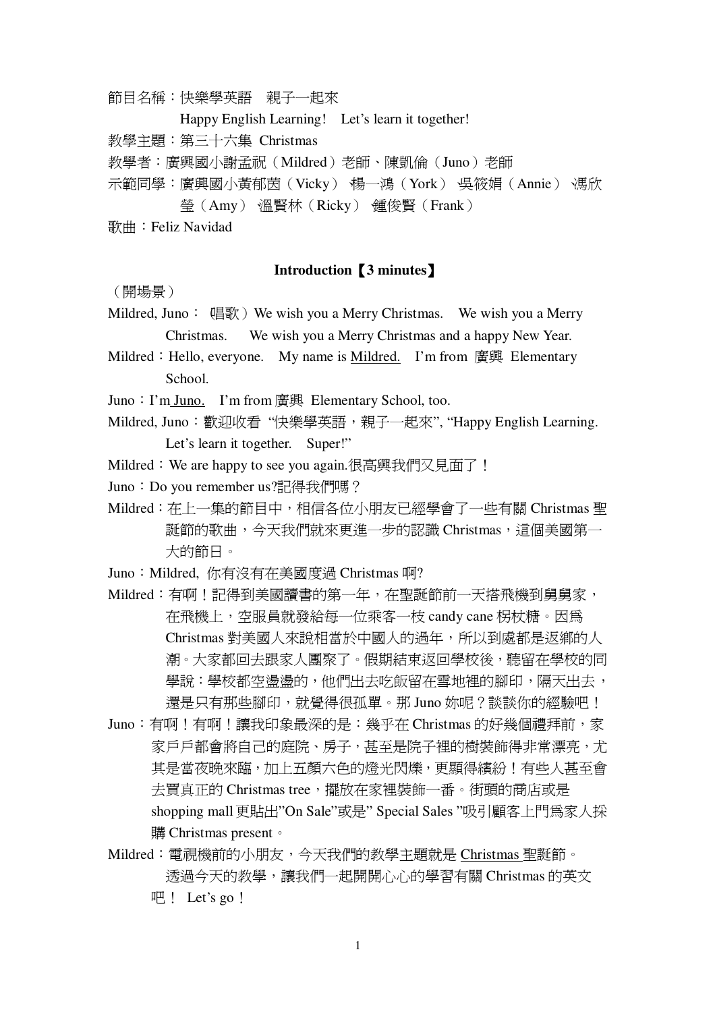節目名稱:快樂學英語 親子一起來

Happy English Learning! Let's learn it together!

教學主題: 第三十六集 Christmas

教學者:廣興國小謝孟祝(Mildred)老師、陳凱倫(Juno)老師

示範同學:廣興國小黃郁茵 (Vicky) 楊一鴻 (York) 吳筱娟 (Annie) 馮欣

瑩(Amy) 溫賢林(Ricky) 鍾俊賢 (Frank)

 $\mathbb{R}$  # : Feliz Navidad

### **Introduction [3** minutes]

(開場景)

- Mildred, Juno: (唱歌) We wish you a Merry Christmas. We wish you a Merry Christmas. We wish you a Merry Christmas and a happy New Year.
- Mildred: Hello, everyone. My name is Mildred. I'm from 廣興 Elementary School.
- Juno: I'm Juno. I'm from 廣興 Elementary School, too.
- Mildred, Juno: 歡迎收看"快樂學英語,親子一起來", "Happy English Learning. Let's learn it together. Super!"

Mildred: We are happy to see you again.很高興我們又見面了!

- Juno: Do you remember us?記得我們嗎?
- Mildred: 在上一集的節目中,相信各位小朋友已經學會了一些有關 Christmas 聖 誕節的歌曲,今天我們就來更進一步的認識 Christmas,這個美國第一 大的節日。

Juno: Mildred, 你有沒有在美國度渦 Christmas 啊?

- Mildred:有啊!記得到美國讀書的第一年,在聖誕節前一天搭飛機到舅舅家, 在飛機上,空服員就發給每一位乘客一枝 candy cane 柺杖糖。因為 Christmas 對美國人來說相當於中國人的渦年, 所以到處都是返鄉的人 潮。大家都回去跟家人團聚了。假期結束返回學校後,聽留在學校的同 學說:學校都空湯湯的,他們出去吃飯留在雪地裡的腳印,隔天出去, 澴是只有那些腳印,就覺得很孤單。那 Juno 妳呢?談談你的經驗吧!
- Juno: 有啊!有啊!讓我印象最深的是:幾乎在 Christmas 的好幾個禮拜前,家 家戶戶都會將自己的庭院、房子,甚至是院子裡的樹裝飾得非常漂亮,尤 其是當夜晩來臨,加上五顏六色的燈光閃爍,更顯得繽紛!有些人甚至會 去買真正的 Christmas tree,擺放在家裡裝飾一番。街頭的商店或是 shopping mall 更貼出"On Sale"或是" Special Sales "吸引顧客上門爲家人採  $\mathbb{R}$  Christmas present ∘
- Mildred:雷視機前的小朋友,今天我們的教學主題就是 Christmas 聖誕節。 诱渦今天的教學, 讓我們一起開開心心的學習有關 Christmas 的英文  $\mathbb{H}$  ! Let's go!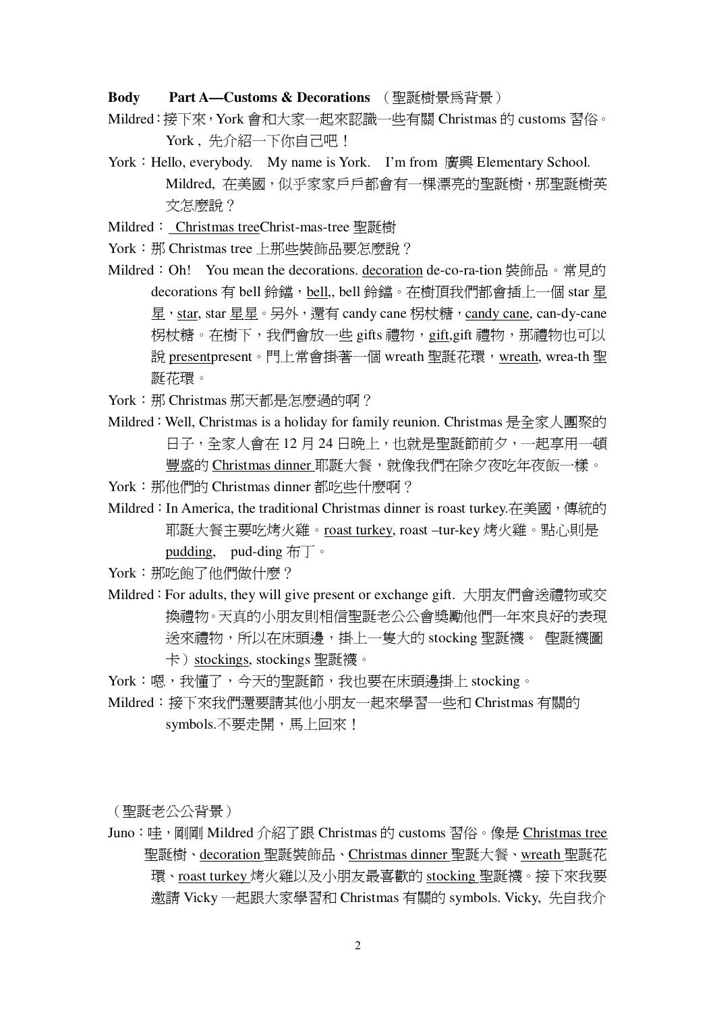**Body** Part A—Customs & Decorations (聖誕樹景為背景)

Mildred:接下來, York 會和大家一起來認識一些有關 Christmas 的 customs 習俗。 York, 先介紹一下你自己吧!

- York: Hello, everybody. My name is York. I'm from 廣興 Elementary School. Mildred, 在美國, 似乎家家戶戶都會有一棵漂亮的聖誕樹, 那聖誕樹英 文怎麼說?
- Mildred: Christmas treeChrist-mas-tree 聖誕樹
- York: 那 Christmas tree 上那些裝飾品要怎麼說?
- Mildred: Oh! You mean the decorations. decoration de-co-ra-tion 裝飾品。常見的 decorations 有 bell 鈴鐺, bell,, bell 鈴鐺。在樹頂我們都會插上一個 star 星 星, star, star 星星。另外, 澴有 candy cane 枴杖糖, candy cane, can-dy-cane 枴杖糖。在樹下,我們會放一些 gifts 禮物,gift,gift 禮物,那禮物也可以 說 presentpresent。門上常會掛著一個 wreath 聖誕花環, wreath, wrea-th 聖 誕花環。
- York: 那 Christmas 那天都是怎麼過的啊?
- Mildred: Well, Christmas is a holiday for family reunion. Christmas 是全家人團聚的 日子,全家人會在12月24日晚上,也就是聖誕節前夕,一起享用一頓 豐盛的 Christmas dinner 耶誕大餐,就像我們在除夕夜吃年夜飯一樣。
- York: 那他們的 Christmas dinner 都吃些什麼啊?
- Mildred: In America, the traditional Christmas dinner is roast turkey.在美國,傳統的 耶誕大餐主要吃烤火雞。roast turkey, roast –tur-key 烤火雞。點心則是 pudding, pud-ding  $\overline{f}$ <sup> $\overline{f}$ </sup>

York: 那吃飽了他們做什麼?

- Mildred: For adults, they will give present or exchange gift. 大朋友們會送禮物或交 換禮物。天直的小朋友則相信聖誕老公公會獎勵他們一年來良好的表現 送來禮物,所以在床頭邊,掛上一隻大的 stocking 聖誕襪。 聖誕襪圖 卡) stockings, stockings 聖誕襪。
- York:嗯,我懂了,今天的聖誕節,我也要在床頭邊掛上 stocking。
- Mildred: 接下來我們還要請其他小朋友一起來學習一些和 Christmas 有關的 symbols.不要走開,馬上回來!

(聖誕老公公背景)

Juno:哇,剛剛 Mildred 介紹了跟 Christmas 的 customs 習俗。像是 Christmas tree 聖誕樹、decoration 聖誕裝飾品、Christmas dinner 聖誕大餐、wreath 聖誕花 環、roast turkey 烤火雞以及小朋友最喜歡的 stocking 聖誕襪。接下來我要 激請 Vicky 一起跟大家學習和 Christmas 有關的 symbols. Vicky, 先自我介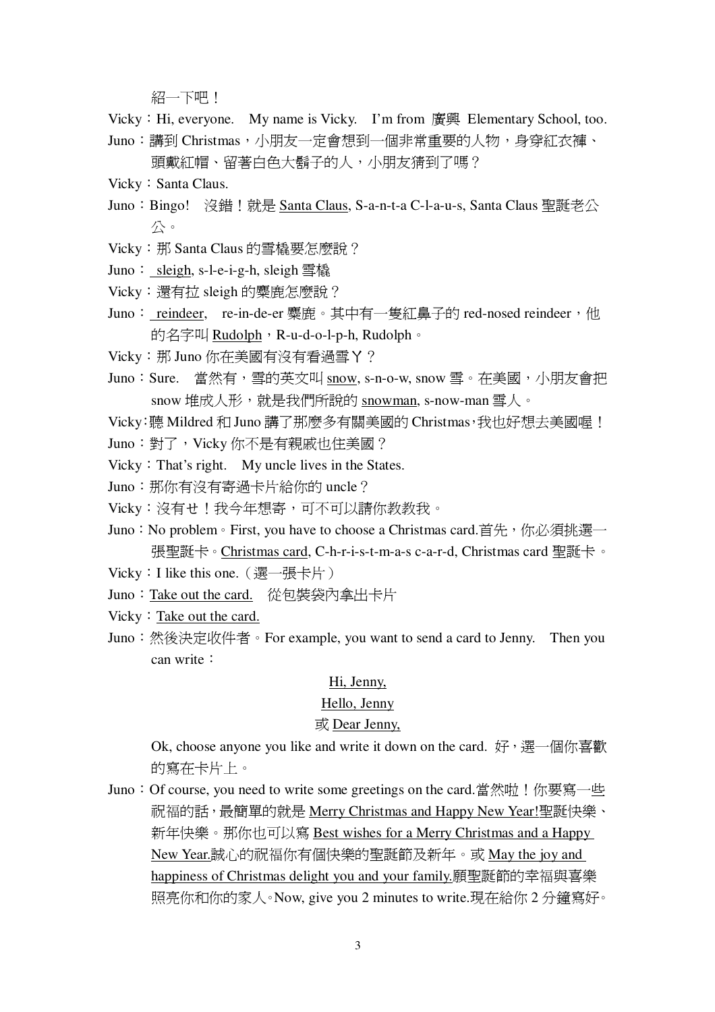紹一下吧!

- Vicky: Hi, everyone. My name is Vicky. I'm from 廣興 Elementary School, too.
- Juno: 講到 Christmas, 小朋友一定會想到一個非常重要的人物, 身穿紅衣褲、 頭戴紅帽、留著白色大鬍子的人,小朋友猜到了嗎?
- Vicky: Santa Claus.
- Juno:Bingo! 沒錯!就是 Santa Claus, S-a-n-t-a C-l-a-u-s, Santa Claus 聖誕老公 ֆΖ
- Vicky: 那 Santa Claus 的雪橇要怎麼說?
- Juno: sleigh, s-l-e-i-g-h, sleigh 雪橇
- Vicky: 還有拉 sleigh 的麋鹿怎麼說?
- Juno: reindeer, re-in-de-er 麋鹿。其中有一隻紅鼻子的 red-nosed reindeer, 他 的名字叫 Rudolph, R-u-d-o-l-p-h, Rudolph。
- Vicky: 那 Juno 你在美國有沒有看過雪Y ?
- Juno:Sure. 當然有,雪的英文叫 snow, s-n-o-w, snow 雪。在美國,小朋友會把 snow 堆成人形,就是我們所說的 snowman, s-now-man 雪人。
- Vicky:聽 Mildred 和 Juno 講了那麼多有關美國的 Christmas, 我也好想去美國喔!
- Juno: 對了, Vicky 你不是有親戚也住美國?
- Vicky: That's right. My uncle lives in the States.
- Juno: 那你有沒有寄過卡片給你的 uncle?
- Vicky: 沒有せ!我今年想寄, 可不可以請你教教我。
- Juno: No problem First, you have to choose a Christmas card.首先,你必須挑選一 張聖誕卡。Christmas card, C-h-r-i-s-t-m-a-s c-a-r-d, Christmas card 聖誕卡。
- Vicky: I like this one. (選一張卡片)
- Juno: Take out the card. 從包裝袋內拿出卡片
- Vicky: Take out the card.
- Juno: 然後決定收件者。For example, you want to send a card to Jenny. Then you can write:

### Hi, Jenny,

## Hello, Jenny

#### 或 Dear Jenny,

Ok, choose anyone you like and write it down on the card.  $\overline{M}$ , 選一個你喜歡 的寫在卡片上。

Juno: Of course, you need to write some greetings on the card.當然啦!你要寫一些 祝福的話,最簡單的就是 Merry Christmas and Happy New Year!聖誕快樂、 新年快樂。那你也可以寫 Best wishes for a Merry Christmas and a Happy New Year.誠心的祝福你有個快樂的聖誕節及新年。或 May the joy and happiness of Christmas delight you and your family.願聖誕節的幸福與喜樂 照亮你和你的家人。Now, give you 2 minutes to write.現在給你2分鐘寫好。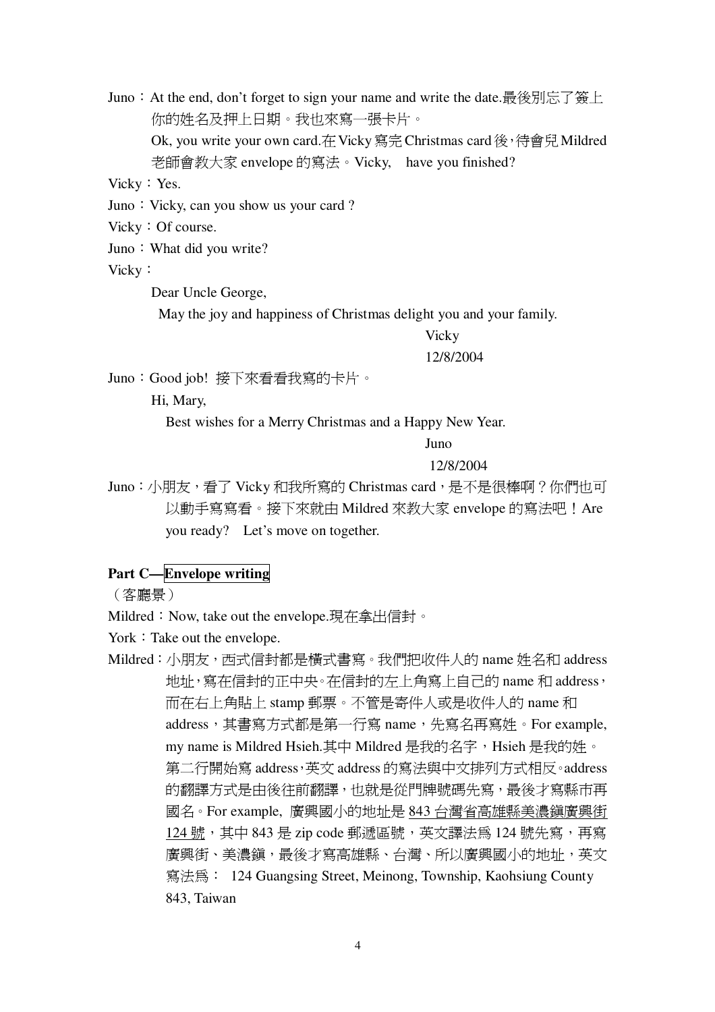Juno : At the end, don't forget to sign your name and write the date.最後別忘了簽上 你的姓名及押上日期。我也來寫一張卡片。 Ok, you write your own card.在 Vicky 寫完 Christmas card 後, 待會兒 Mildred 老師會教大家 envelope 的寫法。Vicky, have you finished?

Vicky: Yes.

Juno: Vicky, can you show us your card ?

Vicky: Of course.

Juno: What did you write?

Vicky:

Dear Uncle George,

May the joy and happiness of Christmas delight you and your family.

Vicky 12/8/2004

Juno: Good job! 接下來看看我寫的卡片。

Hi, Mary,

Best wishes for a Merry Christmas and a Happy New Year.

Juno

### 12/8/2004

Juno: 小朋友,看了 Vicky 和我所寫的 Christmas card, 是不是很棒啊?你們也可 以動手寫寫看。接下來就由 Mildred 來教大家 envelope 的寫法吧!Are you ready? Let's move on together.

# **Part C—Envelope writing**

(客廳景)

Mildred: Now, take out the envelope.現在拿出信封。

York: Take out the envelope.

Mildred: 小朋友, 西式信封都是橫式書寫。我們把收件人的 name 姓名和 address چܿΔᐊڇॾऱإխ؇ΖڇॾऱؐՂߡᐊՂ۞աऱ name ࡉ addressΔ 而在右上角貼上 stamp 郵票。不管是寄件人或是收件人的 name 和 address,其書寫方式都是第一行寫 name,先寫名再寫姓。For example, my name is Mildred Hsieh.其中 Mildred 是我的名字, Hsieh 是我的姓。 第二行開始寫 address,英文 address 的寫法與中文排列方式相反。address 的翻譯方式是由後往前翻譯,也就是從門牌號碼先寫,最後才寫縣市再 國名。For example, 廣興國小的地址是 843 台灣省高雄縣美濃鎮廣興街 124 號, 其中 843 是 zip code 郵遞區號, 英文譯法為 124 號先寫, 再寫 庸興街、美濃鎮,最後才寫高雄縣、台灣、所以廣興國小的地址,英文 寫法爲: 124 Guangsing Street, Meinong, Township, Kaohsiung County 843, Taiwan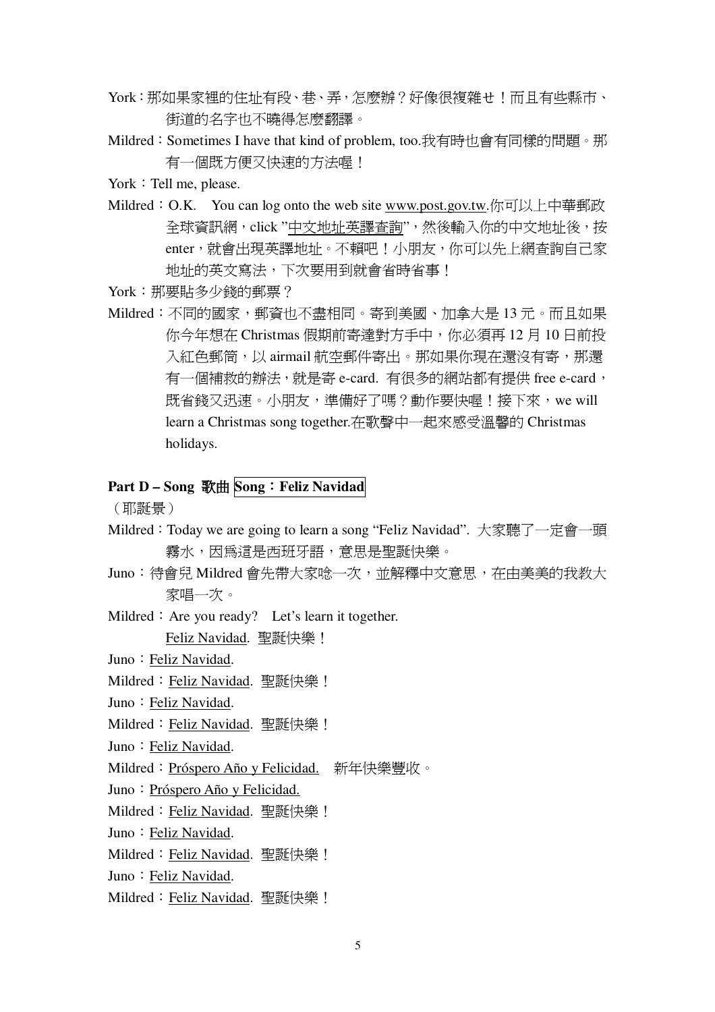- York:那如果家裡的住址有段、巷、弄,怎麼辦?好像很複雜せ!而且有些縣市、 街道的名字也不曉得怎麼翻譯。
- Mildred: Sometimes I have that kind of problem, too.我有時也會有同樣的問題。那 有一個既方便又快速的方法喔!
- York: Tell me, please.
- Mildred: O.K. You can log onto the web site www.post.gov.tw.你可以上中華郵政 全球資訊網, click "中文地址英譯查詢", 然後輸入你的中文地址後, 按 enter,就會出現英譯地址。不賴吧!小朋友,你可以先上網杳詢自己家 地址的英文寫法,下次要用到就會省時省事!
- York: 那要貼多少錢的郵票?
- Mildred: 不同的國家,郵資也不盡相同。寄到美國、加拿大是13元。而且如果 你今年想在 Christmas 假期前寄達對方手中, 你必須再 12 月 10 日前投 入紅色郵筒,以 airmail 航空郵件寄出。那如果你現在還沒有寄,那還 有一個補救的辦法, 就是寄 e-card. 有很多的網站都有提供 free e-card, 既省錢又迅速。小朋友,準備好了嗎?動作要快喔!接下來,we will learn a Christmas song together.在歌聲中一起來感受溫馨的 Christmas holidays.

### **Part D** – Song 歌曲 Song: Feliz Navidad

(耶誕景)

- Mildred: Today we are going to learn a song "Feliz Navidad". 大家聽了一定會一頭 霧水,因為這是西班牙語,意思是聖誕快樂。
- Juno: 待會兒 Mildred 會先帶大家唸一次, 並解釋中文意思, 在由美美的我教大 家唱一次。
- Mildred : Are you ready? Let's learn it together.

Feliz Navidad. 聖誕快樂!

Juno: Feliz Navidad.

Mildred: Feliz Navidad. 聖誕快樂!

Juno: Feliz Navidad.

Mildred: Feliz Navidad. 聖誕快樂!

Juno: Feliz Navidad.

Mildred: Próspero Año y Felicidad. 新年快樂豐收。

Juno: Próspero Año y Felicidad.

Mildred: Feliz Navidad. 聖誕快樂!

Juno: Feliz Navidad.

Mildred: Feliz Navidad. 聖誕快樂!

Juno: Feliz Navidad.

Mildred: Feliz Navidad. 聖誕快樂!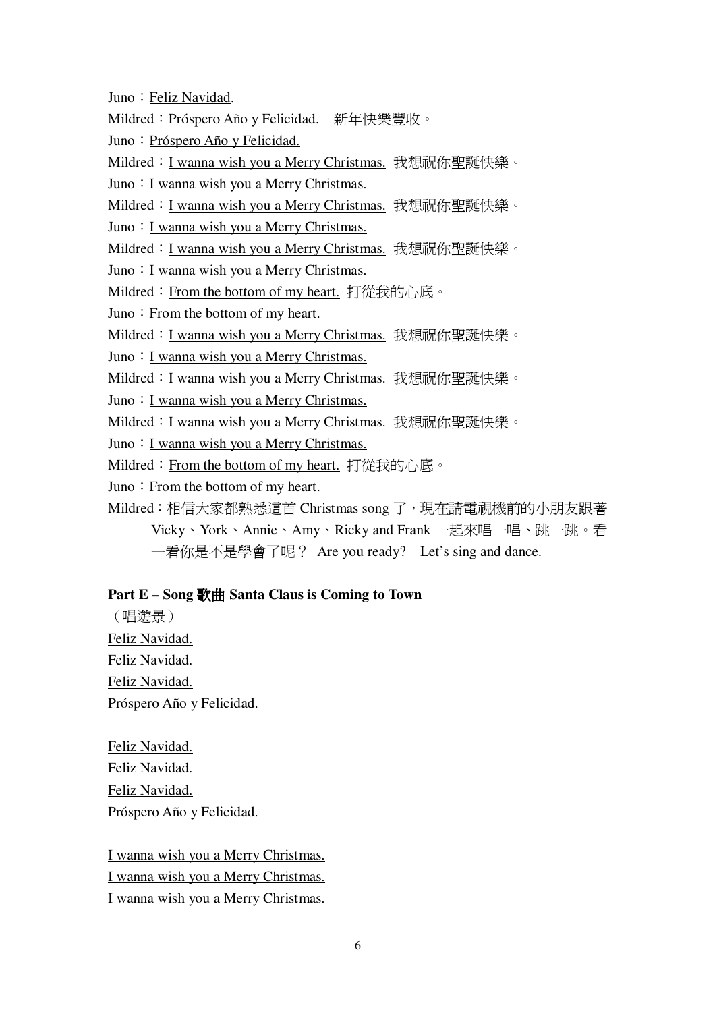Juno: Feliz Navidad.

Mildred: Próspero Año y Felicidad. 新年快樂豐收。

Juno: Próspero Año y Felicidad.

Mildred : I wanna wish you a Merry Christmas. 我想祝你聖誕快樂。

Juno: I wanna wish you a Merry Christmas.

Mildred : I wanna wish you a Merry Christmas. 我想祝你聖誕快樂。

Juno: I wanna wish you a Merry Christmas.

Mildred: I wanna wish you a Merry Christmas. 我想祝你聖誕快樂。

Juno: I wanna wish you a Merry Christmas.

Mildred: From the bottom of my heart. 打從我的心底。

Juno: From the bottom of my heart.

Mildred: I wanna wish you a Merry Christmas. 我想祝你聖誕快樂。

Juno: I wanna wish you a Merry Christmas.

Mildred: I wanna wish you a Merry Christmas. 我想祝你聖誕快樂。

Juno: I wanna wish you a Merry Christmas.

Mildred: I wanna wish you a Merry Christmas. 我想祝你聖誕快樂。

Juno: I wanna wish you a Merry Christmas.

Mildred: From the bottom of my heart. 打從我的心底。

Juno: From the bottom of my heart.

Mildred: 相信大家都熟悉這首 Christmas song 了, 現在請電視機前的小朋友跟著 Vicky、York、Annie、Amy、Ricky and Frank 一起來唱一唱、跳一跳。看 一看你是不是學會了呢? Are you ready? Let's sing and dance.

### **Part E – Song** ዚڴ **Santa Claus is Coming to Town**

(唱游景)

Feliz Navidad.

Feliz Navidad.

Feliz Navidad.

Próspero Año y Felicidad.

Feliz Navidad. Feliz Navidad. Feliz Navidad. Próspero Año y Felicidad.

I wanna wish you a Merry Christmas. I wanna wish you a Merry Christmas. I wanna wish you a Merry Christmas.